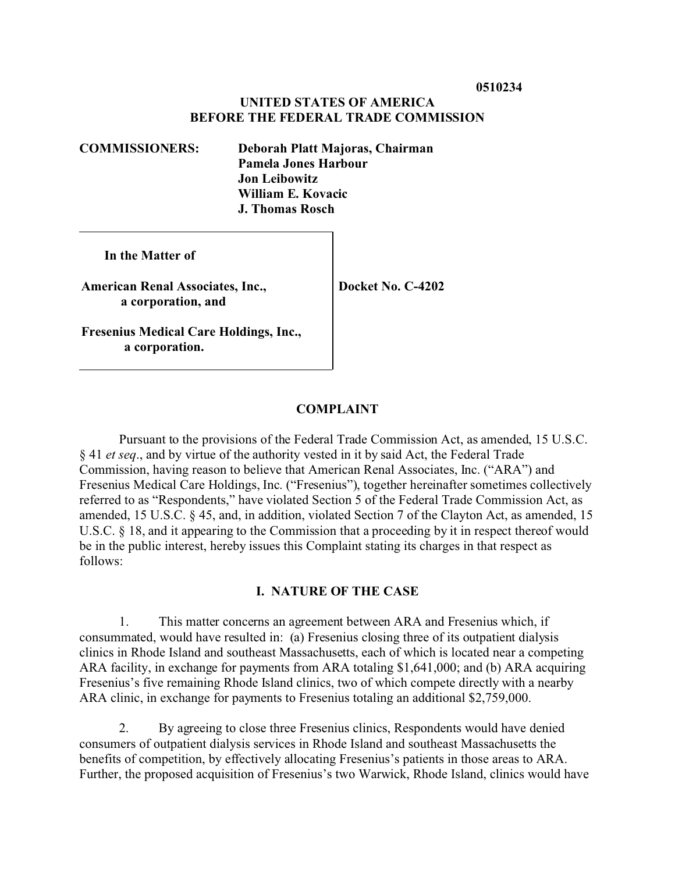# **UNITED STATES OF AMERICA BEFORE THE FEDERAL TRADE COMMISSION**

**COMMISSIONERS: Deborah Platt Majoras, Chairman Pamela Jones Harbour Jon Leibowitz William E. Kovacic J. Thomas Rosch**

 **In the Matter of**

**American Renal Associates, Inc., a corporation, and**

**Fresenius Medical Care Holdings, Inc., a corporation.**

**Docket No. C-4202**

# **COMPLAINT**

Pursuant to the provisions of the Federal Trade Commission Act, as amended, 15 U.S.C. § 41 *et seq*., and by virtue of the authority vested in it by said Act, the Federal Trade Commission, having reason to believe that American Renal Associates, Inc. ("ARA") and Fresenius Medical Care Holdings, Inc. ("Fresenius"), together hereinafter sometimes collectively referred to as "Respondents," have violated Section 5 of the Federal Trade Commission Act, as amended, 15 U.S.C. § 45, and, in addition, violated Section 7 of the Clayton Act, as amended, 15 U.S.C. § 18, and it appearing to the Commission that a proceeding by it in respect thereof would be in the public interest, hereby issues this Complaint stating its charges in that respect as follows:

### **I. NATURE OF THE CASE**

1. This matter concerns an agreement between ARA and Fresenius which, if consummated, would have resulted in: (a) Fresenius closing three of its outpatient dialysis clinics in Rhode Island and southeast Massachusetts, each of which is located near a competing ARA facility, in exchange for payments from ARA totaling \$1,641,000; and (b) ARA acquiring Fresenius's five remaining Rhode Island clinics, two of which compete directly with a nearby ARA clinic, in exchange for payments to Fresenius totaling an additional \$2,759,000.

2. By agreeing to close three Fresenius clinics, Respondents would have denied consumers of outpatient dialysis services in Rhode Island and southeast Massachusetts the benefits of competition, by effectively allocating Fresenius's patients in those areas to ARA. Further, the proposed acquisition of Fresenius's two Warwick, Rhode Island, clinics would have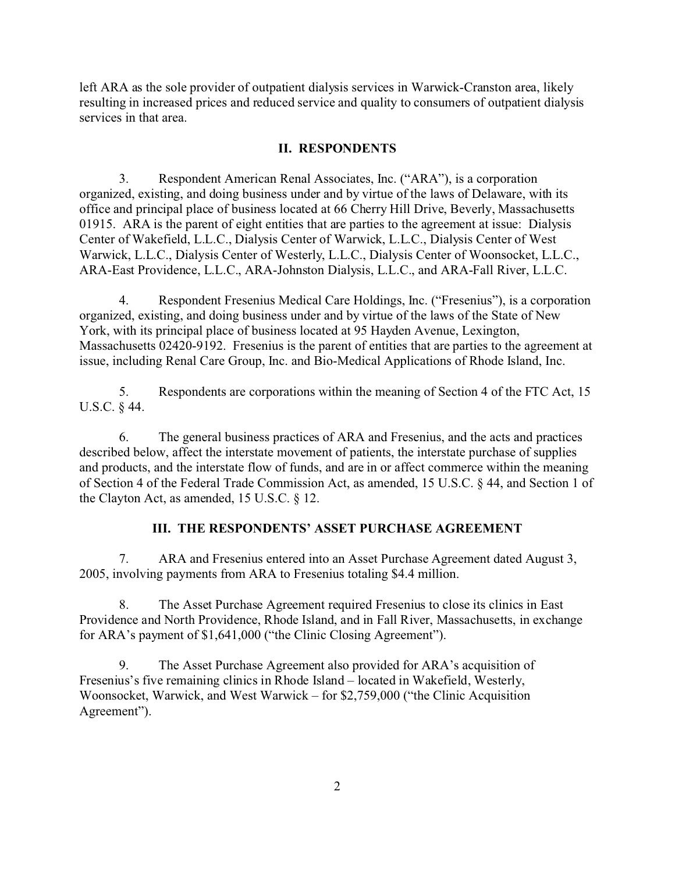left ARA as the sole provider of outpatient dialysis services in Warwick-Cranston area, likely resulting in increased prices and reduced service and quality to consumers of outpatient dialysis services in that area.

### **II. RESPONDENTS**

3. Respondent American Renal Associates, Inc. ("ARA"), is a corporation organized, existing, and doing business under and by virtue of the laws of Delaware, with its office and principal place of business located at 66 Cherry Hill Drive, Beverly, Massachusetts 01915. ARA is the parent of eight entities that are parties to the agreement at issue: Dialysis Center of Wakefield, L.L.C., Dialysis Center of Warwick, L.L.C., Dialysis Center of West Warwick, L.L.C., Dialysis Center of Westerly, L.L.C., Dialysis Center of Woonsocket, L.L.C., ARA-East Providence, L.L.C., ARA-Johnston Dialysis, L.L.C., and ARA-Fall River, L.L.C.

4. Respondent Fresenius Medical Care Holdings, Inc. ("Fresenius"), is a corporation organized, existing, and doing business under and by virtue of the laws of the State of New York, with its principal place of business located at 95 Hayden Avenue, Lexington, Massachusetts 02420-9192. Fresenius is the parent of entities that are parties to the agreement at issue, including Renal Care Group, Inc. and Bio-Medical Applications of Rhode Island, Inc.

5. Respondents are corporations within the meaning of Section 4 of the FTC Act, 15 U.S.C. § 44.

6. The general business practices of ARA and Fresenius, and the acts and practices described below, affect the interstate movement of patients, the interstate purchase of supplies and products, and the interstate flow of funds, and are in or affect commerce within the meaning of Section 4 of the Federal Trade Commission Act, as amended, 15 U.S.C. § 44, and Section 1 of the Clayton Act, as amended, 15 U.S.C. § 12.

# **III. THE RESPONDENTS' ASSET PURCHASE AGREEMENT**

7. ARA and Fresenius entered into an Asset Purchase Agreement dated August 3, 2005, involving payments from ARA to Fresenius totaling \$4.4 million.

8. The Asset Purchase Agreement required Fresenius to close its clinics in East Providence and North Providence, Rhode Island, and in Fall River, Massachusetts, in exchange for ARA's payment of \$1,641,000 ("the Clinic Closing Agreement").

9. The Asset Purchase Agreement also provided for ARA's acquisition of Fresenius's five remaining clinics in Rhode Island – located in Wakefield, Westerly, Woonsocket, Warwick, and West Warwick – for \$2,759,000 ("the Clinic Acquisition Agreement").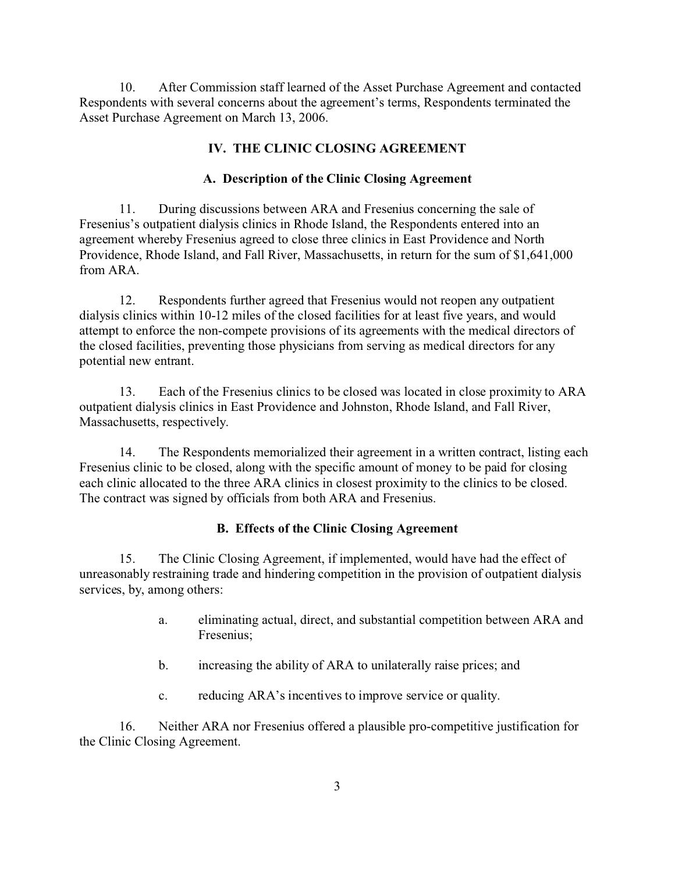10. After Commission staff learned of the Asset Purchase Agreement and contacted Respondents with several concerns about the agreement's terms, Respondents terminated the Asset Purchase Agreement on March 13, 2006.

# **IV. THE CLINIC CLOSING AGREEMENT**

### **A. Description of the Clinic Closing Agreement**

11. During discussions between ARA and Fresenius concerning the sale of Fresenius's outpatient dialysis clinics in Rhode Island, the Respondents entered into an agreement whereby Fresenius agreed to close three clinics in East Providence and North Providence, Rhode Island, and Fall River, Massachusetts, in return for the sum of \$1,641,000 from ARA.

12. Respondents further agreed that Fresenius would not reopen any outpatient dialysis clinics within 10-12 miles of the closed facilities for at least five years, and would attempt to enforce the non-compete provisions of its agreements with the medical directors of the closed facilities, preventing those physicians from serving as medical directors for any potential new entrant.

13. Each of the Fresenius clinics to be closed was located in close proximity to ARA outpatient dialysis clinics in East Providence and Johnston, Rhode Island, and Fall River, Massachusetts, respectively.

14. The Respondents memorialized their agreement in a written contract, listing each Fresenius clinic to be closed, along with the specific amount of money to be paid for closing each clinic allocated to the three ARA clinics in closest proximity to the clinics to be closed. The contract was signed by officials from both ARA and Fresenius.

#### **B. Effects of the Clinic Closing Agreement**

15. The Clinic Closing Agreement, if implemented, would have had the effect of unreasonably restraining trade and hindering competition in the provision of outpatient dialysis services, by, among others:

- a. eliminating actual, direct, and substantial competition between ARA and Fresenius;
- b. increasing the ability of ARA to unilaterally raise prices; and
- c. reducing ARA's incentives to improve service or quality.

16. Neither ARA nor Fresenius offered a plausible pro-competitive justification for the Clinic Closing Agreement.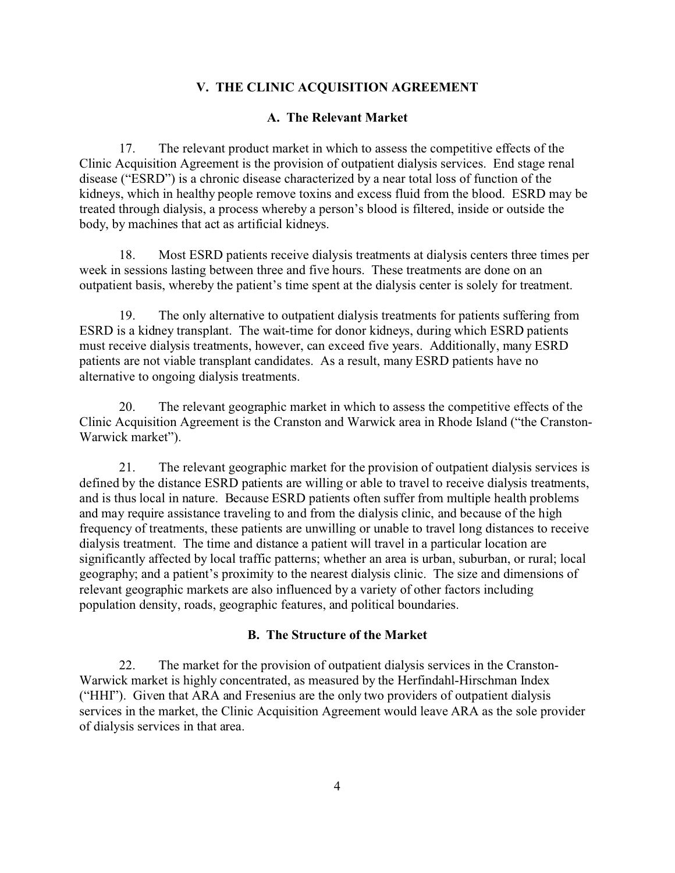## **V. THE CLINIC ACQUISITION AGREEMENT**

#### **A. The Relevant Market**

17. The relevant product market in which to assess the competitive effects of the Clinic Acquisition Agreement is the provision of outpatient dialysis services. End stage renal disease ("ESRD") is a chronic disease characterized by a near total loss of function of the kidneys, which in healthy people remove toxins and excess fluid from the blood. ESRD may be treated through dialysis, a process whereby a person's blood is filtered, inside or outside the body, by machines that act as artificial kidneys.

18. Most ESRD patients receive dialysis treatments at dialysis centers three times per week in sessions lasting between three and five hours. These treatments are done on an outpatient basis, whereby the patient's time spent at the dialysis center is solely for treatment.

19. The only alternative to outpatient dialysis treatments for patients suffering from ESRD is a kidney transplant. The wait-time for donor kidneys, during which ESRD patients must receive dialysis treatments, however, can exceed five years. Additionally, many ESRD patients are not viable transplant candidates. As a result, many ESRD patients have no alternative to ongoing dialysis treatments.

20. The relevant geographic market in which to assess the competitive effects of the Clinic Acquisition Agreement is the Cranston and Warwick area in Rhode Island ("the Cranston-Warwick market").

21. The relevant geographic market for the provision of outpatient dialysis services is defined by the distance ESRD patients are willing or able to travel to receive dialysis treatments, and is thus local in nature. Because ESRD patients often suffer from multiple health problems and may require assistance traveling to and from the dialysis clinic, and because of the high frequency of treatments, these patients are unwilling or unable to travel long distances to receive dialysis treatment. The time and distance a patient will travel in a particular location are significantly affected by local traffic patterns; whether an area is urban, suburban, or rural; local geography; and a patient's proximity to the nearest dialysis clinic. The size and dimensions of relevant geographic markets are also influenced by a variety of other factors including population density, roads, geographic features, and political boundaries.

#### **B. The Structure of the Market**

22. The market for the provision of outpatient dialysis services in the Cranston-Warwick market is highly concentrated, as measured by the Herfindahl-Hirschman Index ("HHI"). Given that ARA and Fresenius are the only two providers of outpatient dialysis services in the market, the Clinic Acquisition Agreement would leave ARA as the sole provider of dialysis services in that area.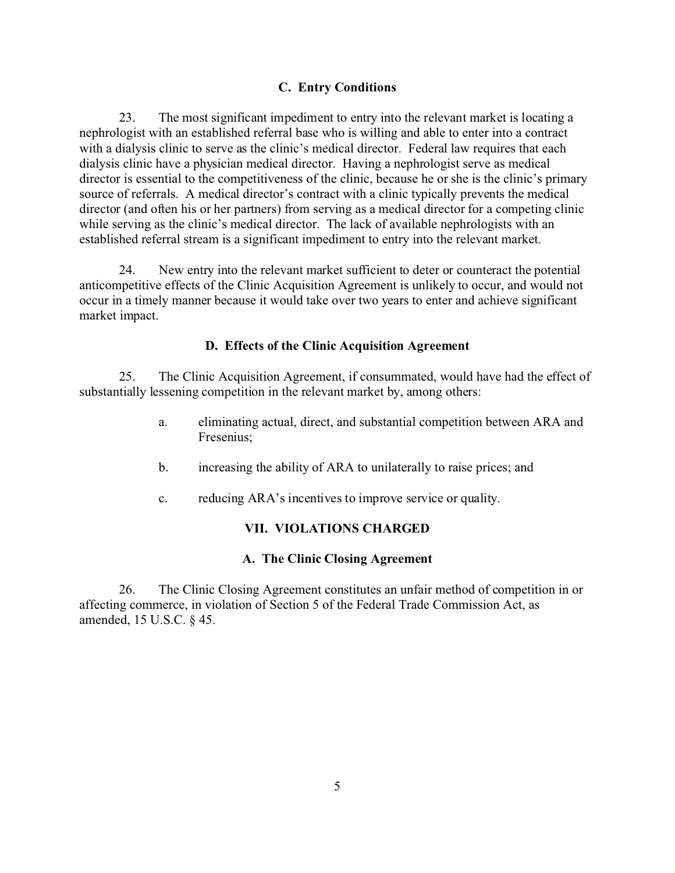# **C. Entry Conditions**

23. The most significant impediment to entry into the relevant market is locating a nephrologist with an established referral base who is willing and able to enter into a contract with a dialysis clinic to serve as the clinic's medical director. Federal law requires that each dialysis clinic have a physician medical director. Having a nephrologist serve as medical director is essential to the competitiveness of the clinic, because he or she is the clinic's primary source of referrals. A medical director's contract with a clinic typically prevents the medical director (and often his or her partners) from serving as a medical director for a competing clinic while serving as the clinic's medical director. The lack of available nephrologists with an established referral stream is a significant impediment to entry into the relevant market.

24. New entry into the relevant market sufficient to deter or counteract the potential anticompetitive effects of the Clinic Acquisition Agreement is unlikely to occur, and would not occur in a timely manner because it would take over two years to enter and achieve significant market impact.

### **D. Effects of the Clinic Acquisition Agreement**

25. The Clinic Acquisition Agreement, if consummated, would have had the effect of substantially lessening competition in the relevant market by, among others:

- a. eliminating actual, direct, and substantial competition between ARA and Fresenius;
- b. increasing the ability of ARA to unilaterally to raise prices; and
- c. reducing ARA's incentives to improve service or quality.

# **VII. VIOLATIONS CHARGED**

#### **A. The Clinic Closing Agreement**

26. The Clinic Closing Agreement constitutes an unfair method of competition in or affecting commerce, in violation of Section 5 of the Federal Trade Commission Act, as amended, 15 U.S.C. § 45.